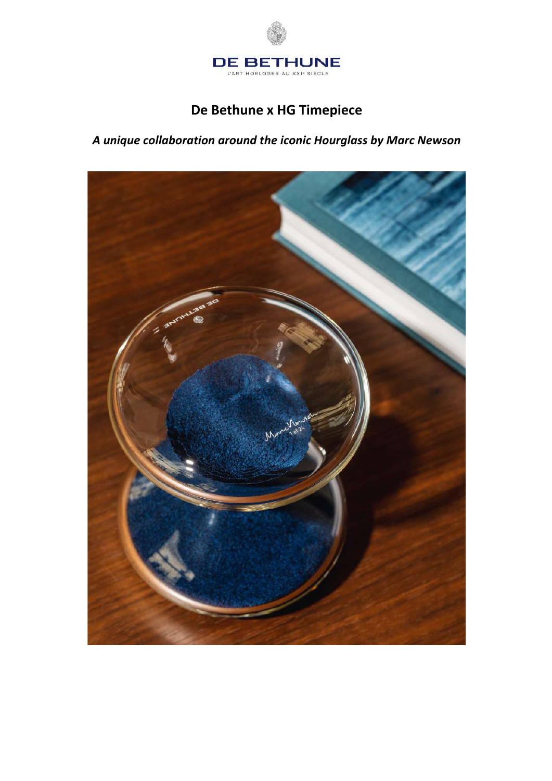

# **De Bethune x HG Timepiece**

*A unique collaboration around the iconic Hourglass by Marc Newson*